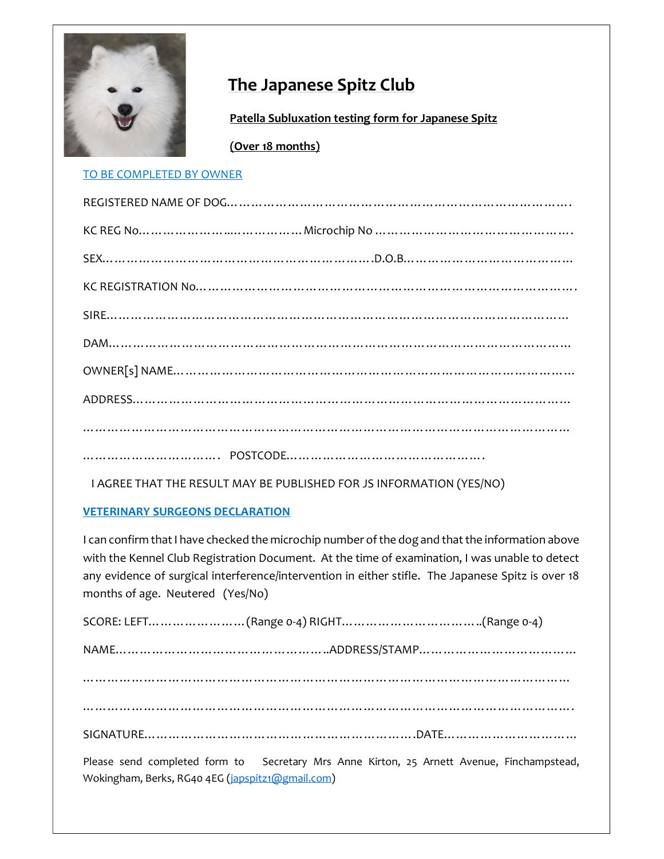

# The Japanese Spitz Club

Patella Subluxation testing form for Japanese Spitz

(Over 18 months)

## TO BE COMPLETED BY OWNER

I AGREE THAT THE RESULT MAY BE PUBLISHED FOR JS INFORMATION (YES/NO)

## VETERINARY SURGEONS DECLARATION

Wokingham, Berks, RG40 4EG (japspitz1@gmail.com)

I can confirm that I have checked the microchip number of the dog and that the information above with the Kennel Club Registration Document. At the time of examination, I was unable to detect any evidence of surgical interference/intervention in either stifle. The Japanese Spitz is over 18 months of age. Neutered (Yes/No)

SCORE: LEFT……………………(Range 0-4) RIGHT……………………………..(Range 0-4) NAME……………………………………………..ADDRESS/STAMP………………………………… ………………………………………………………………………………………………………… …………………………………………………………………………………………………………. SIGNATURE………………………………………………………….DATE…………………………… Please send completed form to Secretary Mrs Anne Kirton, 25 Arnett Avenue, Finchampstead,